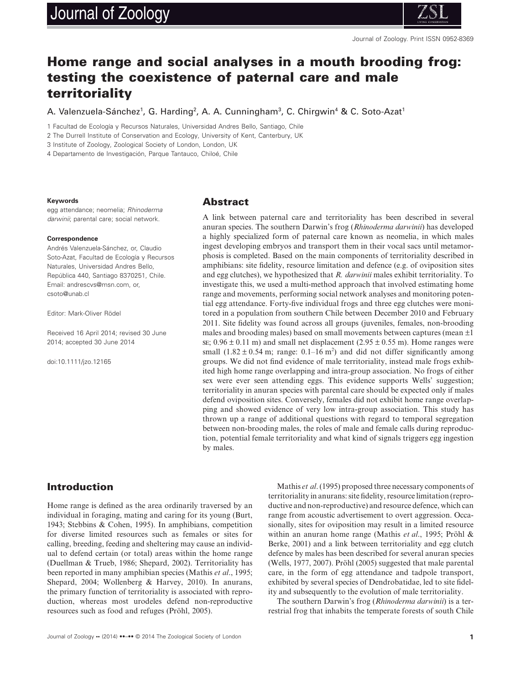# Journal of Zoology



# **Home range and social analyses in a mouth brooding frog: testing the coexistence of paternal care and male territoriality**

A. Valenzuela-Sánchez<sup>1</sup>, G. Harding<sup>2</sup>, A. A. Cunningham<sup>3</sup>, C. Chirgwin<sup>4</sup> & C. Soto-Azat<sup>1</sup>

1 Facultad de Ecología y Recursos Naturales, Universidad Andres Bello, Santiago, Chile

2 The Durrell Institute of Conservation and Ecology, University of Kent, Canterbury, UK

3 Institute of Zoology, Zoological Society of London, London, UK

4 Departamento de Investigación, Parque Tantauco, Chiloé, Chile

#### **Keywords**

egg attendance; neomelia; *Rhinoderma darwinii*; parental care; social network.

#### **Correspondence**

Andrés Valenzuela-Sánchez, or, Claudio Soto-Azat, Facultad de Ecología y Recursos Naturales, Universidad Andres Bello, República 440, Santiago 8370251, Chile. Email: andrescvs@msn.com, or, csoto@unab.cl

Editor: Mark-Oliver Rödel

Received 16 April 2014; revised 30 June 2014; accepted 30 June 2014

doi:10.1111/jzo.12165

#### **Abstract**

A link between paternal care and territoriality has been described in several anuran species. The southern Darwin's frog (*Rhinoderma darwinii*) has developed a highly specialized form of paternal care known as neomelia, in which males ingest developing embryos and transport them in their vocal sacs until metamorphosis is completed. Based on the main components of territoriality described in amphibians: site fidelity, resource limitation and defence (e.g. of oviposition sites and egg clutches), we hypothesized that *R. darwinii* males exhibit territoriality. To investigate this, we used a multi-method approach that involved estimating home range and movements, performing social network analyses and monitoring potential egg attendance. Forty-five individual frogs and three egg clutches were monitored in a population from southern Chile between December 2010 and February 2011. Site fidelity was found across all groups (juveniles, females, non-brooding males and brooding males) based on small movements between captures (mean  $\pm 1$ ) se;  $0.96 \pm 0.11$  m) and small net displacement  $(2.95 \pm 0.55$  m). Home ranges were small  $(1.82 \pm 0.54 \text{ m})$ ; range: 0.1–16 m<sup>2</sup>) and did not differ significantly among groups. We did not find evidence of male territoriality, instead male frogs exhibited high home range overlapping and intra-group association. No frogs of either sex were ever seen attending eggs. This evidence supports Wells' suggestion; territoriality in anuran species with parental care should be expected only if males defend oviposition sites. Conversely, females did not exhibit home range overlapping and showed evidence of very low intra-group association. This study has thrown up a range of additional questions with regard to temporal segregation between non-brooding males, the roles of male and female calls during reproduction, potential female territoriality and what kind of signals triggers egg ingestion by males.

# **Introduction**

Home range is defined as the area ordinarily traversed by an individual in foraging, mating and caring for its young (Burt, 1943; Stebbins & Cohen, 1995). In amphibians, competition for diverse limited resources such as females or sites for calling, breeding, feeding and sheltering may cause an individual to defend certain (or total) areas within the home range (Duellman & Trueb, 1986; Shepard, 2002). Territoriality has been reported in many amphibian species (Mathis *et al*., 1995; Shepard, 2004; Wollenberg & Harvey, 2010). In anurans, the primary function of territoriality is associated with reproduction, whereas most urodeles defend non-reproductive resources such as food and refuges (Pröhl, 2005).

Mathis *et al*. (1995) proposed three necessary components of territoriality in anurans: site fidelity, resource limitation (reproductive and non-reproductive) and resource defence, which can range from acoustic advertisement to overt aggression. Occasionally, sites for oviposition may result in a limited resource within an anuran home range (Mathis *et al*., 1995; Pröhl & Berke, 2001) and a link between territoriality and egg clutch defence by males has been described for several anuran species (Wells, 1977, 2007). Pröhl (2005) suggested that male parental care, in the form of egg attendance and tadpole transport, exhibited by several species of Dendrobatidae, led to site fidelity and subsequently to the evolution of male territoriality.

The southern Darwin's frog (*Rhinoderma darwinii*) is a terrestrial frog that inhabits the temperate forests of south Chile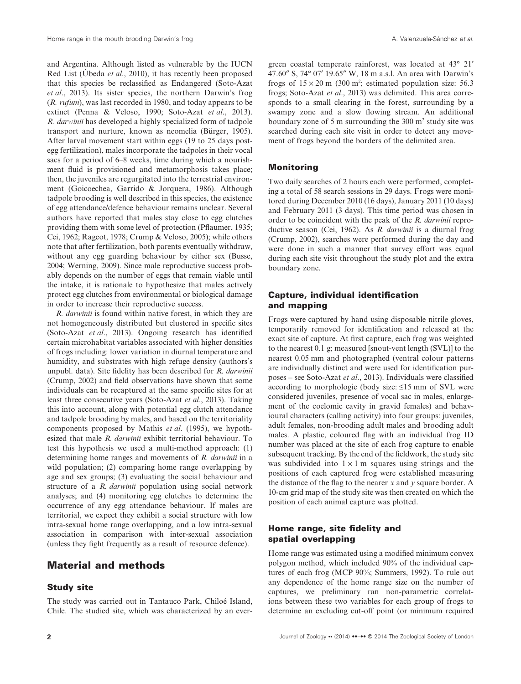and Argentina. Although listed as vulnerable by the IUCN Red List (Úbeda *et al*., 2010), it has recently been proposed that this species be reclassified as Endangered (Soto-Azat *et al*., 2013). Its sister species, the northern Darwin's frog (*R. rufum*), was last recorded in 1980, and today appears to be extinct (Penna & Veloso, 1990; Soto-Azat *et al*., 2013). *R. darwinii* has developed a highly specialized form of tadpole transport and nurture, known as neomelia (Bürger, 1905). After larval movement start within eggs (19 to 25 days postegg fertilization), males incorporate the tadpoles in their vocal sacs for a period of 6–8 weeks, time during which a nourishment fluid is provisioned and metamorphosis takes place; then, the juveniles are regurgitated into the terrestrial environment (Goicoechea, Garrido & Jorquera, 1986). Although tadpole brooding is well described in this species, the existence of egg attendance/defence behaviour remains unclear. Several authors have reported that males stay close to egg clutches providing them with some level of protection (Pflaumer, 1935; Cei, 1962; Rageot, 1978; Crump & Veloso, 2005); while others note that after fertilization, both parents eventually withdraw, without any egg guarding behaviour by either sex (Busse, 2004; Werning, 2009). Since male reproductive success probably depends on the number of eggs that remain viable until the intake, it is rationale to hypothesize that males actively protect egg clutches from environmental or biological damage in order to increase their reproductive success.

*R. darwinii* is found within native forest, in which they are not homogeneously distributed but clustered in specific sites (Soto-Azat *et al*., 2013). Ongoing research has identified certain microhabitat variables associated with higher densities of frogs including: lower variation in diurnal temperature and humidity, and substrates with high refuge density (authors's unpubl. data). Site fidelity has been described for *R. darwinii* (Crump, 2002) and field observations have shown that some individuals can be recaptured at the same specific sites for at least three consecutive years (Soto-Azat *et al*., 2013). Taking this into account, along with potential egg clutch attendance and tadpole brooding by males, and based on the territoriality components proposed by Mathis *et al*. (1995), we hypothesized that male *R. darwinii* exhibit territorial behaviour. To test this hypothesis we used a multi-method approach: (1) determining home ranges and movements of *R. darwinii* in a wild population; (2) comparing home range overlapping by age and sex groups; (3) evaluating the social behaviour and structure of a *R. darwinii* population using social network analyses; and (4) monitoring egg clutches to determine the occurrence of any egg attendance behaviour. If males are territorial, we expect they exhibit a social structure with low intra-sexual home range overlapping, and a low intra-sexual association in comparison with inter-sexual association (unless they fight frequently as a result of resource defence).

# **Material and methods**

#### **Study site**

The study was carried out in Tantauco Park, Chiloé Island, Chile. The studied site, which was characterized by an ever-

green coastal temperate rainforest, was located at 43° 21′ 47.60″ S, 74° 07′ 19.65″ W, 18 m a.s.l. An area with Darwin's frogs of  $15 \times 20$  m (300 m<sup>2</sup>; estimated population size: 56.3 frogs; Soto-Azat *et al*., 2013) was delimited. This area corresponds to a small clearing in the forest, surrounding by a swampy zone and a slow flowing stream. An additional boundary zone of 5 m surrounding the 300 m2 study site was searched during each site visit in order to detect any movement of frogs beyond the borders of the delimited area.

#### **Monitoring**

Two daily searches of 2 hours each were performed, completing a total of 58 search sessions in 29 days. Frogs were monitored during December 2010 (16 days), January 2011 (10 days) and February 2011 (3 days). This time period was chosen in order to be coincident with the peak of the *R. darwinii* reproductive season (Cei, 1962). As *R. darwinii* is a diurnal frog (Crump, 2002), searches were performed during the day and were done in such a manner that survey effort was equal during each site visit throughout the study plot and the extra boundary zone.

# **Capture, individual identification and mapping**

Frogs were captured by hand using disposable nitrile gloves, temporarily removed for identification and released at the exact site of capture. At first capture, each frog was weighted to the nearest 0.1 g; measured [snout-vent length (SVL)] to the nearest 0.05 mm and photographed (ventral colour patterns are individually distinct and were used for identification purposes – see Soto-Azat *et al*., 2013). Individuals were classified according to morphologic (body size: ≤15 mm of SVL were considered juveniles, presence of vocal sac in males, enlargement of the coelomic cavity in gravid females) and behavioural characters (calling activity) into four groups: juveniles, adult females, non-brooding adult males and brooding adult males. A plastic, coloured flag with an individual frog ID number was placed at the site of each frog capture to enable subsequent tracking. By the end of the fieldwork, the study site was subdivided into  $1 \times 1$  m squares using strings and the positions of each captured frog were established measuring the distance of the flag to the nearer *x* and *y* square border. A 10-cm grid map of the study site was then created on which the position of each animal capture was plotted.

## **Home range, site fidelity and spatial overlapping**

Home range was estimated using a modified minimum convex polygon method, which included 90% of the individual captures of each frog (MCP 90%; Summers, 1992). To rule out any dependence of the home range size on the number of captures, we preliminary ran non-parametric correlations between these two variables for each group of frogs to determine an excluding cut-off point (or minimum required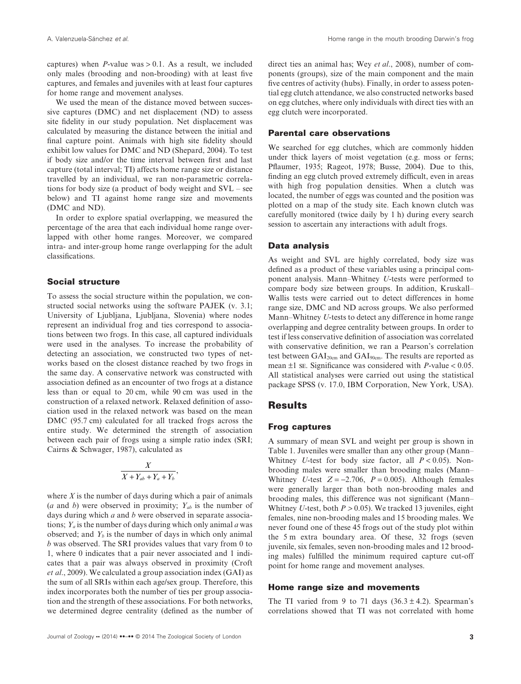captures) when *P*-value was  $> 0.1$ . As a result, we included only males (brooding and non-brooding) with at least five captures, and females and juveniles with at least four captures for home range and movement analyses.

We used the mean of the distance moved between successive captures (DMC) and net displacement (ND) to assess site fidelity in our study population. Net displacement was calculated by measuring the distance between the initial and final capture point. Animals with high site fidelity should exhibit low values for DMC and ND (Shepard, 2004). To test if body size and/or the time interval between first and last capture (total interval; TI) affects home range size or distance travelled by an individual, we ran non-parametric correlations for body size (a product of body weight and SVL – see below) and TI against home range size and movements (DMC and ND).

In order to explore spatial overlapping, we measured the percentage of the area that each individual home range overlapped with other home ranges. Moreover, we compared intra- and inter-group home range overlapping for the adult classifications.

#### **Social structure**

To assess the social structure within the population, we constructed social networks using the software PAJEK (v. 3.1; University of Ljubljana, Ljubljana, Slovenia) where nodes represent an individual frog and ties correspond to associations between two frogs. In this case, all captured individuals were used in the analyses. To increase the probability of detecting an association, we constructed two types of networks based on the closest distance reached by two frogs in the same day. A conservative network was constructed with association defined as an encounter of two frogs at a distance less than or equal to 20 cm, while 90 cm was used in the construction of a relaxed network. Relaxed definition of association used in the relaxed network was based on the mean DMC (95.7 cm) calculated for all tracked frogs across the entire study. We determined the strength of association between each pair of frogs using a simple ratio index (SRI; Cairns & Schwager, 1987), calculated as

$$
\frac{X}{X+Y_{ab}+Y_a+Y_b},\,
$$

where *X* is the number of days during which a pair of animals (*a* and *b*) were observed in proximity;  $Y_{ab}$  is the number of days during which *a* and *b* were observed in separate associations; *Ya* is the number of days during which only animal *a* was observed; and  $Y_b$  is the number of days in which only animal *b* was observed. The SRI provides values that vary from 0 to 1, where 0 indicates that a pair never associated and 1 indicates that a pair was always observed in proximity (Croft *et al*., 2009). We calculated a group association index (GAI) as the sum of all SRIs within each age/sex group. Therefore, this index incorporates both the number of ties per group association and the strength of these associations. For both networks, we determined degree centrality (defined as the number of

direct ties an animal has; Wey *et al*., 2008), number of components (groups), size of the main component and the main five centres of activity (hubs). Finally, in order to assess potential egg clutch attendance, we also constructed networks based on egg clutches, where only individuals with direct ties with an egg clutch were incorporated.

# **Parental care observations**

We searched for egg clutches, which are commonly hidden under thick layers of moist vegetation (e.g. moss or ferns; Pflaumer, 1935; Rageot, 1978; Busse, 2004). Due to this, finding an egg clutch proved extremely difficult, even in areas with high frog population densities. When a clutch was located, the number of eggs was counted and the position was plotted on a map of the study site. Each known clutch was carefully monitored (twice daily by 1 h) during every search session to ascertain any interactions with adult frogs.

#### **Data analysis**

As weight and SVL are highly correlated, body size was defined as a product of these variables using a principal component analysis. Mann–Whitney *U*-tests were performed to compare body size between groups. In addition, Kruskall– Wallis tests were carried out to detect differences in home range size, DMC and ND across groups. We also performed Mann–Whitney *U*-tests to detect any difference in home range overlapping and degree centrality between groups. In order to test if less conservative definition of association was correlated with conservative definition, we ran a Pearson's correlation test between  $GAI_{20cm}$  and  $GAI_{90cm}$ . The results are reported as mean ±1 se. Significance was considered with *P*-value < 0.05. All statistical analyses were carried out using the statistical package SPSS (v. 17.0, IBM Corporation, New York, USA).

#### **Results**

#### **Frog captures**

A summary of mean SVL and weight per group is shown in Table 1. Juveniles were smaller than any other group (Mann– Whitney *U*-test for body size factor, all *P* < 0.05). Nonbrooding males were smaller than brooding males (Mann– Whitney *U*-test  $Z = -2.706$ ,  $P = 0.005$ ). Although females were generally larger than both non-brooding males and brooding males, this difference was not significant (Mann– Whitney *U*-test, both  $P > 0.05$ ). We tracked 13 juveniles, eight females, nine non-brooding males and 15 brooding males. We never found one of these 45 frogs out of the study plot within the 5 m extra boundary area. Of these, 32 frogs (seven juvenile, six females, seven non-brooding males and 12 brooding males) fulfilled the minimum required capture cut-off point for home range and movement analyses.

#### **Home range size and movements**

The TI varied from 9 to 71 days  $(36.3 \pm 4.2)$ . Spearman's correlations showed that TI was not correlated with home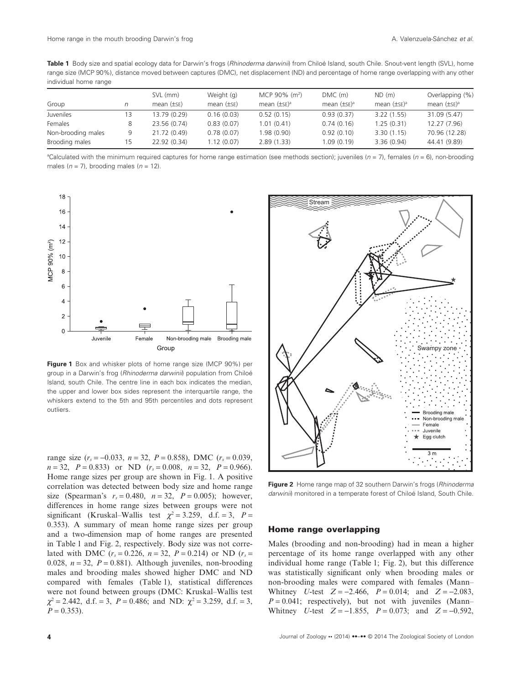**Table 1** Body size and spatial ecology data for Darwin's frogs (*Rhinoderma darwinii*) from Chiloé Island, south Chile. Snout-vent length (SVL), home range size (MCP 90%), distance moved between captures (DMC), net displacement (ND) and percentage of home range overlapping with any other individual home range

|                    |    | SVL (mm)         | Weight (g)       | MCP 90% $(m^2)$   | $DMC$ (m)          | ND (m)            | Overlapping (%)    |
|--------------------|----|------------------|------------------|-------------------|--------------------|-------------------|--------------------|
| Group              | n  | mean $(\pm s_E)$ | mean $(\pm s_E)$ | mean $(\pm sE)^a$ | mean $(\pm s_E)^a$ | mean $(\pm sE)^a$ | mean $(\pm s_E)^a$ |
| Juveniles          | 13 | 13.79 (0.29)     | 0.16(0.03)       | 0.52(0.15)        | 0.93(0.37)         | 3.22(1.55)        | 31.09 (5.47)       |
| Females            | 8  | 23.56 (0.74)     | 0.83(0.07)       | 1.01(0.41)        | 0.74(0.16)         | 1.25(0.31)        | 12.27 (7.96)       |
| Non-brooding males | 9  | 21.72 (0.49)     | 0.78(0.07)       | 1.98(0.90)        | 0.92(0.10)         | 3.30(1.15)        | 70.96 (12.28)      |
| Brooding males     | 15 | 22.92 (0.34)     | 1.12(0.07)       | 2.89(1.33)        | 1.09(0.19)         | 3.36(0.94)        | 44.41 (9.89)       |

a Calculated with the minimum required captures for home range estimation (see methods section); juveniles (*n* = 7), females (*n* = 6), non-brooding males  $(n = 7)$ , brooding males  $(n = 12)$ .



**Figure 1** Box and whisker plots of home range size (MCP 90%) per group in a Darwin's frog (*Rhinoderma darwinii*) population from Chiloé Island, south Chile. The centre line in each box indicates the median, the upper and lower box sides represent the interquartile range, the whiskers extend to the 5th and 95th percentiles and dots represent outliers.

range size  $(r_s = -0.033, n = 32, P = 0.858)$ , DMC  $(r_s = 0.039, P = 0.039)$  $n = 32$ ,  $P = 0.833$  or ND  $(r_s = 0.008, n = 32, P = 0.966)$ . Home range sizes per group are shown in Fig. 1. A positive correlation was detected between body size and home range size (Spearman's  $r_s = 0.480$ ,  $n = 32$ ,  $P = 0.005$ ); however, differences in home range sizes between groups were not significant (Kruskal–Wallis test  $\chi^2 = 3.259$ , d.f. = 3,  $P =$ 0.353). A summary of mean home range sizes per group and a two-dimension map of home ranges are presented in Table 1 and Fig. 2, respectively. Body size was not correlated with DMC ( $r_s = 0.226$ ,  $n = 32$ ,  $P = 0.214$ ) or ND ( $r_s =$ 0.028,  $n = 32$ ,  $P = 0.881$ ). Although juveniles, non-brooding males and brooding males showed higher DMC and ND compared with females (Table 1), statistical differences were not found between groups (DMC: Kruskal–Wallis test  $\chi^2$  = 2.442, d.f. = 3, *P* = 0.486; and ND:  $\chi^2$  = 3.259, d.f. = 3,  $P = 0.353$ .



**Figure 2** Home range map of 32 southern Darwin's frogs (*Rhinoderma darwinii*) monitored in a temperate forest of Chiloé Island, South Chile.

#### **Home range overlapping**

Males (brooding and non-brooding) had in mean a higher percentage of its home range overlapped with any other individual home range (Table 1; Fig. 2), but this difference was statistically significant only when brooding males or non-brooding males were compared with females (Mann– Whitney *U*-test *Z* = −2.466, *P* = 0.014; and *Z* = −2.083,  $P = 0.041$ ; respectively), but not with juveniles (Mann– Whitney *U*-test *Z* = −1.855, *P* = 0.073; and *Z* = −0.592,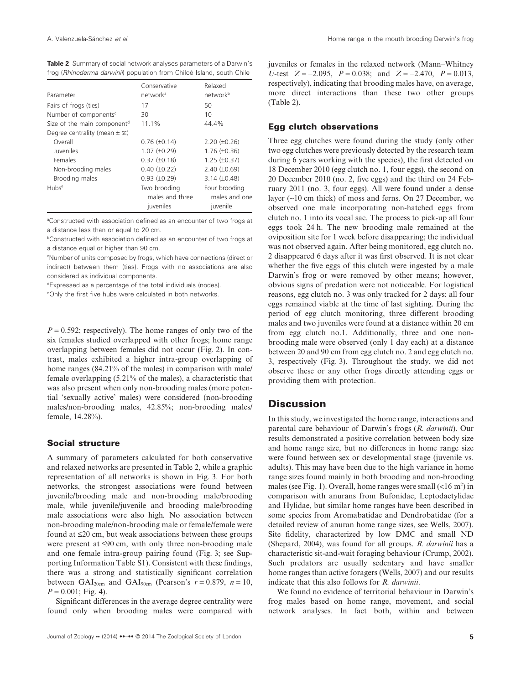**Table 2** Summary of social network analyses parameters of a Darwin's frog (*Rhinoderma darwinii*) population from Chiloé Island, south Chile

| Parameter                               | Conservative<br>network <sup>a</sup> | Relaxed<br>network <sup>b</sup> |  |
|-----------------------------------------|--------------------------------------|---------------------------------|--|
| Pairs of frogs (ties)                   | 17                                   | 50                              |  |
| Number of components <sup>c</sup>       | 30                                   | 10                              |  |
| Size of the main component <sup>d</sup> | 11.1%                                | 44.4%                           |  |
| Degree centrality (mean $\pm$ se)       |                                      |                                 |  |
| Overall                                 | $0.76$ ( $\pm 0.14$ )                | $2.20 (\pm 0.26)$               |  |
| <b>Juveniles</b>                        | $1.07 (\pm 0.29)$                    | $1.76 \ (\pm 0.36)$             |  |
| Females                                 | $0.37 (\pm 0.18)$                    | $1.25 \ (\pm 0.37)$             |  |
| Non-brooding males                      | $0.40 (\pm 0.22)$                    | $2.40 \ (\pm 0.69)$             |  |
| Brooding males                          | $0.93 \ (\pm 0.29)$                  | $3.14 \ (\pm 0.48)$             |  |
| Hubse                                   | Two brooding                         | Four brooding                   |  |
|                                         | males and three                      | males and one                   |  |
|                                         | juveniles                            | juvenile                        |  |

a Constructed with association defined as an encounter of two frogs at a distance less than or equal to 20 cm.

b Constructed with association defined as an encounter of two frogs at a distance equal or higher than 90 cm.

c Number of units composed by frogs, which have connections (direct or indirect) between them (ties). Frogs with no associations are also considered as individual components.

d Expressed as a percentage of the total individuals (nodes).

e Only the first five hubs were calculated in both networks.

 $P = 0.592$ ; respectively). The home ranges of only two of the six females studied overlapped with other frogs; home range overlapping between females did not occur (Fig. 2). In contrast, males exhibited a higher intra-group overlapping of home ranges (84.21% of the males) in comparison with male/ female overlapping (5.21% of the males), a characteristic that was also present when only non-brooding males (more potential 'sexually active' males) were considered (non-brooding males/non-brooding males, 42.85%; non-brooding males/ female, 14.28%).

# **Social structure**

A summary of parameters calculated for both conservative and relaxed networks are presented in Table 2, while a graphic representation of all networks is shown in Fig. 3. For both networks, the strongest associations were found between juvenile/brooding male and non-brooding male/brooding male, while juvenile/juvenile and brooding male/brooding male associations were also high*.* No association between non-brooding male/non-brooding male or female/female were found at ≤20 cm, but weak associations between these groups were present at ≤90 cm, with only three non-brooding male and one female intra-group pairing found (Fig. 3; see Supporting Information Table S1). Consistent with these findings, there was a strong and statistically significant correlation between GAI<sub>20cm</sub> and GAI<sub>90cm</sub> (Pearson's  $r = 0.879$ ,  $n = 10$ ,  $P = 0.001$ ; Fig. 4).

Significant differences in the average degree centrality were found only when brooding males were compared with juveniles or females in the relaxed network (Mann–Whitney *U*-test *Z* = −2.095, *P* = 0.038; and *Z* = −2.470, *P* = 0.013, respectively), indicating that brooding males have, on average, more direct interactions than these two other groups (Table 2).

#### **Egg clutch observations**

Three egg clutches were found during the study (only other two egg clutches were previously detected by the research team during 6 years working with the species), the first detected on 18 December 2010 (egg clutch no. 1, four eggs), the second on 20 December 2010 (no. 2, five eggs) and the third on 24 February 2011 (no. 3, four eggs). All were found under a dense layer (∼10 cm thick) of moss and ferns. On 27 December, we observed one male incorporating non-hatched eggs from clutch no. 1 into its vocal sac. The process to pick-up all four eggs took 24 h. The new brooding male remained at the oviposition site for 1 week before disappearing; the individual was not observed again. After being monitored, egg clutch no. 2 disappeared 6 days after it was first observed. It is not clear whether the five eggs of this clutch were ingested by a male Darwin's frog or were removed by other means; however, obvious signs of predation were not noticeable. For logistical reasons, egg clutch no. 3 was only tracked for 2 days; all four eggs remained viable at the time of last sighting. During the period of egg clutch monitoring, three different brooding males and two juveniles were found at a distance within 20 cm from egg clutch no.1. Additionally, three and one nonbrooding male were observed (only 1 day each) at a distance between 20 and 90 cm from egg clutch no. 2 and egg clutch no. 3, respectively (Fig. 3). Throughout the study, we did not observe these or any other frogs directly attending eggs or providing them with protection.

# **Discussion**

In this study, we investigated the home range, interactions and parental care behaviour of Darwin's frogs (*R. darwinii*). Our results demonstrated a positive correlation between body size and home range size, but no differences in home range size were found between sex or developmental stage (juvenile vs. adults). This may have been due to the high variance in home range sizes found mainly in both brooding and non-brooding males (see Fig. 1). Overall, home ranges were small  $($ <16 m<sup>2</sup> $)$  in comparison with anurans from Bufonidae, Leptodactylidae and Hylidae, but similar home ranges have been described in some species from Aromabatidae and Dendrobatidae (for a detailed review of anuran home range sizes, see Wells, 2007). Site fidelity, characterized by low DMC and small ND (Shepard, 2004), was found for all groups. *R. darwinii* has a characteristic sit-and-wait foraging behaviour (Crump, 2002). Such predators are usually sedentary and have smaller home ranges than active foragers (Wells, 2007) and our results indicate that this also follows for *R. darwinii*.

We found no evidence of territorial behaviour in Darwin's frog males based on home range, movement, and social network analyses. In fact both, within and between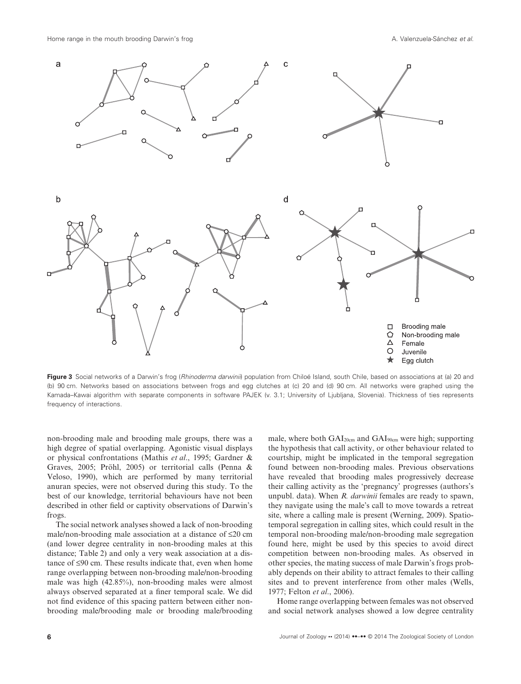

Figure 3 Social networks of a Darwin's frog (Rhinoderma darwinii) population from Chiloé Island, south Chile, based on associations at (a) 20 and (b) 90 cm. Networks based on associations between frogs and egg clutches at (c) 20 and (d) 90 cm. All networks were graphed using the Kamada–Kawai algorithm with separate components in software PAJEK (v. 3.1; University of Ljubljana, Slovenia). Thickness of ties represents frequency of interactions.

non-brooding male and brooding male groups, there was a high degree of spatial overlapping. Agonistic visual displays or physical confrontations (Mathis *et al*., 1995; Gardner & Graves, 2005; Pröhl, 2005) or territorial calls (Penna & Veloso, 1990), which are performed by many territorial anuran species, were not observed during this study. To the best of our knowledge, territorial behaviours have not been described in other field or captivity observations of Darwin's frogs.

The social network analyses showed a lack of non-brooding male/non-brooding male association at a distance of ≤20 cm (and lower degree centrality in non-brooding males at this distance; Table 2) and only a very weak association at a distance of ≤90 cm. These results indicate that, even when home range overlapping between non-brooding male/non-brooding male was high (42.85%), non-brooding males were almost always observed separated at a finer temporal scale. We did not find evidence of this spacing pattern between either nonbrooding male/brooding male or brooding male/brooding male, where both GAI<sub>20cm</sub> and GAI<sub>90cm</sub> were high; supporting the hypothesis that call activity, or other behaviour related to courtship, might be implicated in the temporal segregation found between non-brooding males. Previous observations have revealed that brooding males progressively decrease their calling activity as the 'pregnancy' progresses (authors's unpubl. data). When *R. darwinii* females are ready to spawn, they navigate using the male's call to move towards a retreat site, where a calling male is present (Werning, 2009). Spatiotemporal segregation in calling sites, which could result in the temporal non-brooding male/non-brooding male segregation found here, might be used by this species to avoid direct competition between non-brooding males. As observed in other species, the mating success of male Darwin's frogs probably depends on their ability to attract females to their calling sites and to prevent interference from other males (Wells, 1977; Felton *et al*., 2006).

Home range overlapping between females was not observed and social network analyses showed a low degree centrality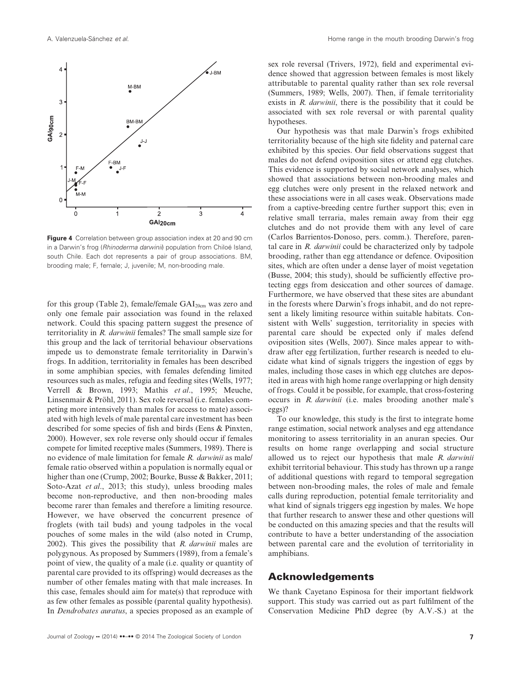

**Figure 4** Correlation between group association index at 20 and 90 cm in a Darwin's frog (*Rhinoderma darwinii*) population from Chiloé Island, south Chile. Each dot represents a pair of group associations. BM, brooding male; F, female; J, juvenile; M, non-brooding male.

for this group (Table 2), female/female GAI<sub>20cm</sub> was zero and only one female pair association was found in the relaxed network. Could this spacing pattern suggest the presence of territoriality in *R. darwinii* females? The small sample size for this group and the lack of territorial behaviour observations impede us to demonstrate female territoriality in Darwin's frogs. In addition, territoriality in females has been described in some amphibian species, with females defending limited resources such as males, refugia and feeding sites (Wells, 1977; Verrell & Brown, 1993; Mathis *et al*., 1995; Meuche, Linsenmair & Pröhl, 2011). Sex role reversal (i.e. females competing more intensively than males for access to mate) associated with high levels of male parental care investment has been described for some species of fish and birds (Eens & Pinxten, 2000). However, sex role reverse only should occur if females compete for limited receptive males (Summers, 1989). There is no evidence of male limitation for female *R. darwinii* as male/ female ratio observed within a population is normally equal or higher than one (Crump, 2002; Bourke, Busse & Bakker, 2011; Soto-Azat *et al*., 2013; this study), unless brooding males become non-reproductive, and then non-brooding males become rarer than females and therefore a limiting resource. However, we have observed the concurrent presence of froglets (with tail buds) and young tadpoles in the vocal pouches of some males in the wild (also noted in Crump, 2002). This gives the possibility that *R. darwinii* males are polygynous. As proposed by Summers (1989), from a female's point of view, the quality of a male (i.e. quality or quantity of parental care provided to its offspring) would decreases as the number of other females mating with that male increases. In this case, females should aim for mate(s) that reproduce with as few other females as possible (parental quality hypothesis). In *Dendrobates auratus*, a species proposed as an example of

sex role reversal (Trivers, 1972), field and experimental evidence showed that aggression between females is most likely attributable to parental quality rather than sex role reversal (Summers, 1989; Wells, 2007). Then, if female territoriality exists in *R. darwinii*, there is the possibility that it could be associated with sex role reversal or with parental quality hypotheses.

Our hypothesis was that male Darwin's frogs exhibited territoriality because of the high site fidelity and paternal care exhibited by this species. Our field observations suggest that males do not defend oviposition sites or attend egg clutches. This evidence is supported by social network analyses, which showed that associations between non-brooding males and egg clutches were only present in the relaxed network and these associations were in all cases weak. Observations made from a captive-breeding centre further support this; even in relative small terraria, males remain away from their egg clutches and do not provide them with any level of care (Carlos Barrientos-Donoso, pers. comm.). Therefore, parental care in *R. darwinii* could be characterized only by tadpole brooding, rather than egg attendance or defence. Oviposition sites, which are often under a dense layer of moist vegetation (Busse, 2004; this study), should be sufficiently effective protecting eggs from desiccation and other sources of damage. Furthermore, we have observed that these sites are abundant in the forests where Darwin's frogs inhabit, and do not represent a likely limiting resource within suitable habitats. Consistent with Wells' suggestion, territoriality in species with parental care should be expected only if males defend oviposition sites (Wells, 2007). Since males appear to withdraw after egg fertilization, further research is needed to elucidate what kind of signals triggers the ingestion of eggs by males, including those cases in which egg clutches are deposited in areas with high home range overlapping or high density of frogs. Could it be possible, for example, that cross-fostering occurs in *R. darwinii* (i.e. males brooding another male's eggs)?

To our knowledge, this study is the first to integrate home range estimation, social network analyses and egg attendance monitoring to assess territoriality in an anuran species. Our results on home range overlapping and social structure allowed us to reject our hypothesis that male *R. darwinii* exhibit territorial behaviour. This study has thrown up a range of additional questions with regard to temporal segregation between non-brooding males, the roles of male and female calls during reproduction, potential female territoriality and what kind of signals triggers egg ingestion by males. We hope that further research to answer these and other questions will be conducted on this amazing species and that the results will contribute to have a better understanding of the association between parental care and the evolution of territoriality in amphibians.

# **Acknowledgements**

We thank Cayetano Espinosa for their important fieldwork support. This study was carried out as part fulfilment of the Conservation Medicine PhD degree (by A.V.-S.) at the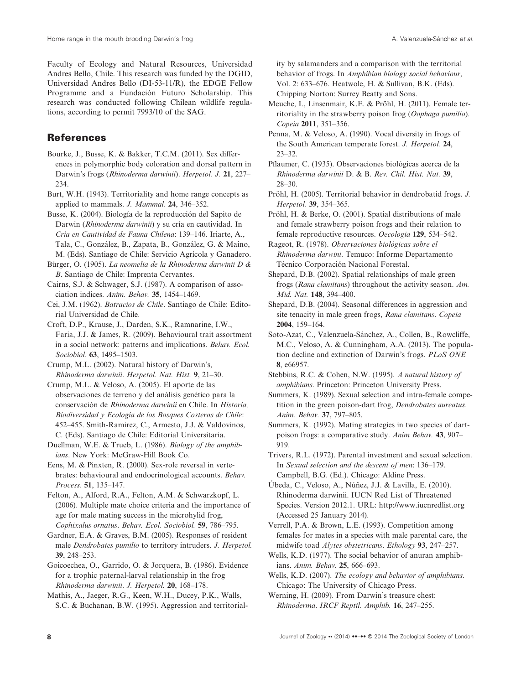Faculty of Ecology and Natural Resources, Universidad Andres Bello, Chile. This research was funded by the DGID, Universidad Andres Bello (DI-53-11/R), the EDGE Fellow Programme and a Fundación Futuro Scholarship. This research was conducted following Chilean wildlife regulations, according to permit 7993/10 of the SAG.

# **References**

- Bourke, J., Busse, K. & Bakker, T.C.M. (2011). Sex differences in polymorphic body coloration and dorsal pattern in Darwin's frogs (*Rhinoderma darwinii*). *Herpetol. J.* **21**, 227– 234.
- Burt, W.H. (1943). Territoriality and home range concepts as applied to mammals. *J. Mammal.* **24**, 346–352.
- Busse, K. (2004). Biología de la reproducción del Sapito de Darwin (*Rhinoderma darwinii*) y su cría en cautividad. In *Cría en Cautividad de Fauna Chilena*: 139–146. Iriarte, A., Tala, C., González, B., Zapata, B., González, G. & Maino, M. (Eds). Santiago de Chile: Servicio Agrícola y Ganadero.
- Bürger, O. (1905). *La neomelia de la Rhinoderma darwinii D & B*. Santiago de Chile: Imprenta Cervantes.
- Cairns, S.J. & Schwager, S.J. (1987). A comparison of association indices. *Anim. Behav.* **35**, 1454–1469.
- Cei, J.M. (1962). *Batracios de Chile*. Santiago de Chile: Editorial Universidad de Chile.
- Croft, D.P., Krause, J., Darden, S.K., Ramnarine, I.W., Faria, J.J. & James, R. (2009). Behavioural trait assortment in a social network: patterns and implications. *Behav. Ecol. Sociobiol.* **63**, 1495–1503.
- Crump, M.L. (2002). Natural history of Darwin's, *Rhinoderma darwinii*. *Herpetol. Nat. Hist.* **9**, 21–30.
- Crump, M.L. & Veloso, A. (2005). El aporte de las observaciones de terreno y del análisis genético para la conservación de *Rhinoderma darwinii* en Chile. In *Historia, Biodiversidad y Ecología de los Bosques Costeros de Chile*: 452–455. Smith-Ramirez, C., Armesto, J.J. & Valdovinos, C. (Eds). Santiago de Chile: Editorial Universitaria.
- Duellman, W.E. & Trueb, L. (1986). *Biology of the amphibians*. New York: McGraw-Hill Book Co.
- Eens, M. & Pinxten, R. (2000). Sex-role reversal in vertebrates: behavioural and endocrinological accounts. *Behav. Process.* **51**, 135–147.
- Felton, A., Alford, R.A., Felton, A.M. & Schwarzkopf, L. (2006). Multiple mate choice criteria and the importance of age for male mating success in the microhylid frog, *Cophixalus ornatus*. *Behav. Ecol. Sociobiol.* **59**, 786–795.
- Gardner, E.A. & Graves, B.M. (2005). Responses of resident male *Dendrobates pumilio* to territory intruders. *J. Herpetol.* **39**, 248–253.
- Goicoechea, O., Garrido, O. & Jorquera, B. (1986). Evidence for a trophic paternal-larval relationship in the frog *Rhinoderma darwinii*. *J. Herpetol.* **20**, 168–178.
- Mathis, A., Jaeger, R.G., Keen, W.H., Ducey, P.K., Walls, S.C. & Buchanan, B.W. (1995). Aggression and territorial-

ity by salamanders and a comparison with the territorial behavior of frogs. In *Amphibian biology social behaviour*, Vol. 2: 633–676. Heatwole, H. & Sullivan, B.K. (Eds). Chipping Norton: Surrey Beatty and Sons.

- Meuche, I., Linsenmair, K.E. & Pröhl, H. (2011). Female territoriality in the strawberry poison frog (*Oophaga pumilio*). *Copeia* **2011**, 351–356.
- Penna, M. & Veloso, A. (1990). Vocal diversity in frogs of the South American temperate forest. *J. Herpetol.* **24**, 23–32.
- Pflaumer, C. (1935). Observaciones biológicas acerca de la *Rhinoderma darwinii* D. & B. *Rev. Chil. Hist. Nat.* **39**, 28–30.
- Pröhl, H. (2005). Territorial behavior in dendrobatid frogs. *J. Herpetol.* **39**, 354–365.
- Pröhl, H. & Berke, O. (2001). Spatial distributions of male and female strawberry poison frogs and their relation to female reproductive resources. *Oecologia* **129**, 534–542.

Rageot, R. (1978). *Observaciones biológicas sobre el Rhinoderma darwini*. Temuco: Informe Departamento Técnico Corporación Nacional Forestal.

- Shepard, D.B. (2002). Spatial relationships of male green frogs (*Rana clamitans*) throughout the activity season. *Am. Mid. Nat.* **148**, 394–400.
- Shepard, D.B. (2004). Seasonal differences in aggression and site tenacity in male green frogs, *Rana clamitans*. *Copeia* **2004**, 159–164.
- Soto-Azat, C., Valenzuela-Sánchez, A., Collen, B., Rowcliffe, M.C., Veloso, A. & Cunningham, A.A. (2013). The population decline and extinction of Darwin's frogs. *PLoS ONE* **8**, e66957.
- Stebbins, R.C. & Cohen, N.W. (1995). *A natural history of amphibians*. Princeton: Princeton University Press.
- Summers, K. (1989). Sexual selection and intra-female competition in the green poison-dart frog, *Dendrobates aureatus*. *Anim. Behav.* **37**, 797–805.
- Summers, K. (1992). Mating strategies in two species of dartpoison frogs: a comparative study. *Anim Behav.* **43**, 907– 919.
- Trivers, R.L. (1972). Parental investment and sexual selection. In *Sexual selection and the descent of men*: 136–179. Campbell, B.G. (Ed.). Chicago: Aldine Press.
- Úbeda, C., Veloso, A., Núñez, J.J. & Lavilla, E. (2010). Rhinoderma darwinii. IUCN Red List of Threatened Species. Version 2012.1. URL: http://www.iucnredlist.org (Accessed 25 January 2014).

Verrell, P.A. & Brown, L.E. (1993). Competition among females for mates in a species with male parental care, the midwife toad *Alytes obstetricans*. *Ethology* **93**, 247–257.

- Wells, K.D. (1977). The social behavior of anuran amphibians. *Anim. Behav.* **25**, 666–693.
- Wells, K.D. (2007). *The ecology and behavior of amphibians*. Chicago: The University of Chicago Press.
- Werning, H. (2009). From Darwin's treasure chest: *Rhinoderma*. *IRCF Reptil. Amphib.* **16**, 247–255.